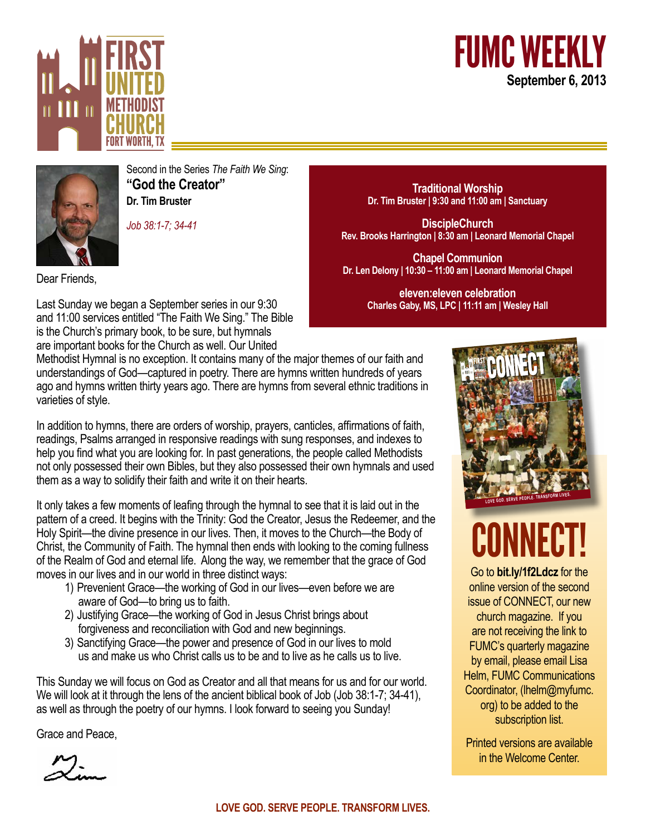





Second in the Series *The Faith We Sing*: **"God the Creator" Dr. Tim Bruster**

*Job 38:1-7; 34-41*

**Traditional Worship Dr. Tim Bruster | 9:30 and 11:00 am | Sanctuary**

**DiscipleChurch Rev. Brooks Harrington | 8:30 am | Leonard Memorial Chapel**

**Chapel Communion Dr. Len Delony | 10:30 – 11:00 am | Leonard Memorial Chapel**

> **eleven:eleven celebration Charles Gaby, MS, LPC | 11:11 am | Wesley Hall**

Dear Friends,

Last Sunday we began a September series in our 9:30 and 11:00 services entitled "The Faith We Sing." The Bible is the Church's primary book, to be sure, but hymnals are important books for the Church as well. Our United

Methodist Hymnal is no exception. It contains many of the major themes of our faith and understandings of God—captured in poetry. There are hymns written hundreds of years ago and hymns written thirty years ago. There are hymns from several ethnic traditions in varieties of style.

In addition to hymns, there are orders of worship, prayers, canticles, affirmations of faith, readings, Psalms arranged in responsive readings with sung responses, and indexes to help you find what you are looking for. In past generations, the people called Methodists not only possessed their own Bibles, but they also possessed their own hymnals and used them as a way to solidify their faith and write it on their hearts.

It only takes a few moments of leafing through the hymnal to see that it is laid out in the pattern of a creed. It begins with the Trinity: God the Creator, Jesus the Redeemer, and the Holy Spirit—the divine presence in our lives. Then, it moves to the Church—the Body of Christ, the Community of Faith. The hymnal then ends with looking to the coming fullness of the Realm of God and eternal life. Along the way, we remember that the grace of God moves in our lives and in our world in three distinct ways:

- 1) Prevenient Grace—the working of God in our lives—even before we are aware of God—to bring us to faith.
- 2) Justifying Grace—the working of God in Jesus Christ brings about forgiveness and reconciliation with God and new beginnings.
- 3) Sanctifying Grace—the power and presence of God in our lives to mold us and make us who Christ calls us to be and to live as he calls us to live.

This Sunday we will focus on God as Creator and all that means for us and for our world. We will look at it through the lens of the ancient biblical book of Job (Job 38:1-7; 34-41), as well as through the poetry of our hymns. I look forward to seeing you Sunday!

Grace and Peace,



# CONNECT!

Go to **bit.ly/1f2Ldcz** for the online version of the second issue of CONNECT, our new church magazine. If you are not receiving the link to FUMC's quarterly magazine by email, please email Lisa Helm, FUMC Communications Coordinator, (lhelm@myfumc. org) to be added to the subscription list.

Printed versions are available in the Welcome Center.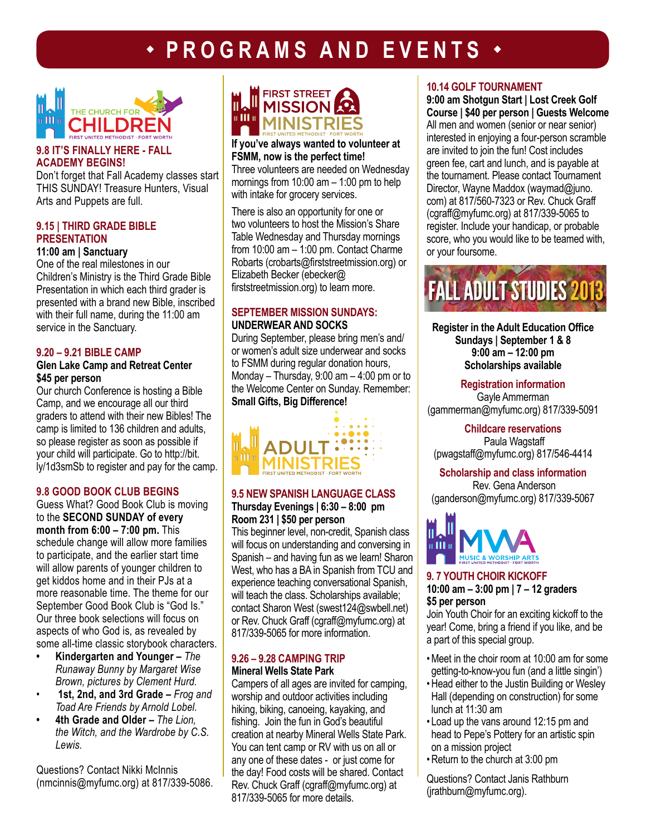## **PROGRAMS AND EVENTS**



#### **9.8 IT'S FINALLY HERE - FALL ACADEMY BEGINS!**

Don't forget that Fall Academy classes start THIS SUNDAY! Treasure Hunters, Visual Arts and Puppets are full.

#### **9.15 | THIRD GRADE BIBLE PRESENTATION**

#### **11:00 am | Sanctuary**

One of the real milestones in our Children's Ministry is the Third Grade Bible Presentation in which each third grader is presented with a brand new Bible, inscribed with their full name, during the 11:00 am service in the Sanctuary.

#### **9.20 – 9.21 BIBLE CAMP**

#### **Glen Lake Camp and Retreat Center \$45 per person**

Our church Conference is hosting a Bible Camp, and we encourage all our third graders to attend with their new Bibles! The camp is limited to 136 children and adults, so please register as soon as possible if your child will participate. Go to http://bit. ly/1d3smSb to register and pay for the camp.

#### **9.8 GOOD BOOK CLUB BEGINS**

Guess What? Good Book Club is moving to the **SECOND SUNDAY of every month from 6:00 – 7:00 pm.** This schedule change will allow more families to participate, and the earlier start time will allow parents of younger children to get kiddos home and in their PJs at a more reasonable time. The theme for our September Good Book Club is "God Is." Our three book selections will focus on aspects of who God is, as revealed by some all-time classic storybook characters.

- **• Kindergarten and Younger** *The Runaway Bunny by Margaret Wise Brown, pictures by Clement Hurd.*
- *•* **1st, 2nd, and 3rd Grade –** *Frog and Toad Are Friends by Arnold Lobel.*
- **• 4th Grade and Older –** *The Lion, the Witch, and the Wardrobe by C.S. Lewis.*

Questions? Contact Nikki McInnis (nmcinnis@myfumc.org) at 817/339-5086.



#### **If you've always wanted to volunteer at FSMM, now is the perfect time!**

Three volunteers are needed on Wednesday mornings from  $10:00$  am  $-1:00$  pm to help with intake for grocery services.

There is also an opportunity for one or two volunteers to host the Mission's Share Table Wednesday and Thursday mornings from 10:00 am – 1:00 pm. Contact Charme Robarts (crobarts@firststreetmission.org) or Elizabeth Becker (ebecker@ firststreetmission.org) to learn more.

#### **SEPTEMBER MISSION SUNDAYS: UNDERWEAR AND SOCKS**

During September, please bring men's and/ or women's adult size underwear and socks to FSMM during regular donation hours, Monday – Thursday, 9:00 am – 4:00 pm or to the Welcome Center on Sunday. Remember: **Small Gifts, Big Difference!**



#### **9.5 NEW SPANISH LANGUAGE CLASS Thursday Evenings | 6:30 – 8:00 pm Room 231 | \$50 per person**

This beginner level, non-credit, Spanish class will focus on understanding and conversing in Spanish – and having fun as we learn! Sharon West, who has a BA in Spanish from TCU and experience teaching conversational Spanish, will teach the class. Scholarships available: contact Sharon West (swest124@swbell.net) or Rev. Chuck Graff (cgraff@myfumc.org) at 817/339-5065 for more information.

#### **9.26 – 9.28 CAMPING TRIP Mineral Wells State Park**

Campers of all ages are invited for camping, worship and outdoor activities including hiking, biking, canoeing, kayaking, and fishing. Join the fun in God's beautiful creation at nearby Mineral Wells State Park. You can tent camp or RV with us on all or any one of these dates - or just come for the day! Food costs will be shared. Contact Rev. Chuck Graff (cgraff@myfumc.org) at 817/339-5065 for more details.

#### **10.14 GOLF TOURNAMENT**

**9:00 am Shotgun Start | Lost Creek Golf Course | \$40 per person | Guests Welcome** All men and women (senior or near senior) interested in enjoying a four-person scramble are invited to join the fun! Cost includes green fee, cart and lunch, and is payable at the tournament. Please contact Tournament Director, Wayne Maddox (waymad@juno. com) at 817/560-7323 or Rev. Chuck Graff (cgraff@myfumc.org) at 817/339-5065 to register. Include your handicap, or probable score, who you would like to be teamed with, or your foursome.



**Register in the Adult Education Office Sundays | September 1 & 8 9:00 am – 12:00 pm Scholarships available**

**Registration information** Gayle Ammerman (gammerman@myfumc.org) 817/339-5091

**Childcare reservations**  Paula Wagstaff (pwagstaff@myfumc.org) 817/546-4414

**Scholarship and class information**  Rev. Gena Anderson (ganderson@myfumc.org) 817/339-5067



#### **9. 7 YOUTH CHOIR KICKOFF 10:00 am – 3:00 pm | 7 – 12 graders \$5 per person**

Join Youth Choir for an exciting kickoff to the year! Come, bring a friend if you like, and be a part of this special group.

- •Meet in the choir room at 10:00 am for some getting-to-know-you fun (and a little singin')
- •Head either to the Justin Building or Wesley Hall (depending on construction) for some lunch at 11:30 am
- Load up the vans around 12:15 pm and head to Pepe's Pottery for an artistic spin on a mission project
- •Return to the church at 3:00 pm

Questions? Contact Janis Rathburn (jrathburn@myfumc.org).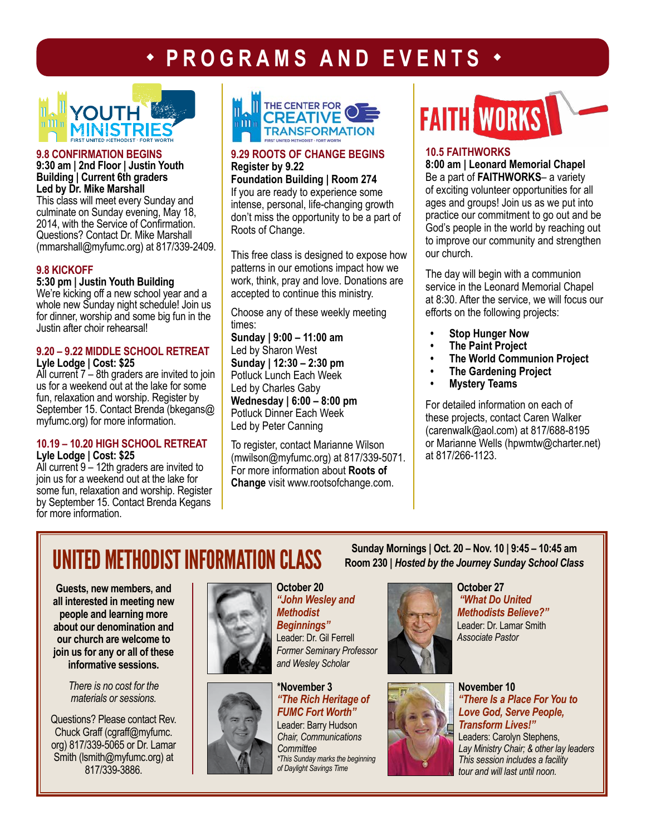### **+ PROGRAMS AND EVENTS**



#### **9.8 CONFIRMATION BEGINS 9:30 am | 2nd Floor | Justin Youth Building | Current 6th graders Led by Dr. Mike Marshall**

This class will meet every Sunday and culminate on Sunday evening, May 18, 2014, with the Service of Confirmation. Questions? Contact Dr. Mike Marshall (mmarshall@myfumc.org) at 817/339-2409.

#### **9.8 KICKOFF**

#### **5:30 pm | Justin Youth Building**

We're kicking off a new school year and a whole new Sunday night schedule! Join us for dinner, worship and some big fun in the Justin after choir rehearsal!

#### **9.20 – 9.22 MIDDLE SCHOOL RETREAT Lyle Lodge | Cost: \$25**

All current  $7 - 8$ th graders are invited to join us for a weekend out at the lake for some fun, relaxation and worship. Register by September 15. Contact Brenda (bkegans@ myfumc.org) for more information.

#### **10.19 – 10.20 HIGH SCHOOL RETREAT Lyle Lodge | Cost: \$25**

All current  $9 - 12$ th graders are invited to join us for a weekend out at the lake for some fun, relaxation and worship. Register by September 15. Contact Brenda Kegans for more information.



#### **9.29 ROOTS OF CHANGE BEGINS Register by 9.22**

**Foundation Building | Room 274** If you are ready to experience some intense, personal, life-changing growth don't miss the opportunity to be a part of Roots of Change.

This free class is designed to expose how patterns in our emotions impact how we work, think, pray and love. Donations are accepted to continue this ministry.

Choose any of these weekly meeting times:

**Sunday | 9:00 – 11:00 am** Led by Sharon West **Sunday | 12:30 – 2:30 pm**  Potluck Lunch Each Week Led by Charles Gaby **Wednesday | 6:00 – 8:00 pm**  Potluck Dinner Each Week Led by Peter Canning

To register, contact Marianne Wilson (mwilson@myfumc.org) at 817/339-5071. For more information about **Roots of Change** visit www.rootsofchange.com.

## **FAITH WORKS**

#### **10.5 FAITHWORKS**

**8:00 am | Leonard Memorial Chapel** Be a part of **FAITHWORKS**– a variety of exciting volunteer opportunities for all ages and groups! Join us as we put into practice our commitment to go out and be God's people in the world by reaching out to improve our community and strengthen our church.

The day will begin with a communion service in the Leonard Memorial Chapel at 8:30. After the service, we will focus our efforts on the following projects:

- **• Stop Hunger Now**
- **• The Paint Project**
- **• The World Communion Project**
- **• The Gardening Project**
- **• Mystery Teams**

For detailed information on each of these projects, contact Caren Walker (carenwalk@aol.com) at 817/688-8195 or Marianne Wells (hpwmtw@charter.net) at 817/266-1123.

## **UNITED METHODIST INFORMATION CLASS** Sunday Mornings | Oct. 20 – Nov. 10 | 9:45 – 10:45 am **International School Class**

**Guests, new members, and all interested in meeting new people and learning more about our denomination and our church are welcome to join us for any or all of these informative sessions.** 

> *There is no cost for the materials or sessions.*

Questions? Please contact Rev. Chuck Graff (cgraff@myfumc. org) 817/339-5065 or Dr. Lamar Smith (lsmith@myfumc.org) at 817/339-3886.



**October 20** *"John Wesley and Methodist Beginnings"* Leader: Dr. Gil Ferrell *Former Seminary Professor and Wesley Scholar*



**\*November 3** *"The Rich Heritage of FUMC Fort Worth"* Leader: Barry Hudson *Chair, Communications Committee \*This Sunday marks the beginning of Daylight Savings Time*



**October 27** *"What Do United Methodists Believe?"* Leader: Dr. Lamar Smith *Associate Pastor* 

**Room 230 |** *Hosted by the Journey Sunday School Class*



**November 10**  *"There Is a Place For You to Love God, Serve People, Transform Lives!"* Leaders: Carolyn Stephens, *Lay Ministry Chair; & other lay leaders This session includes a facility tour and will last until noon.*